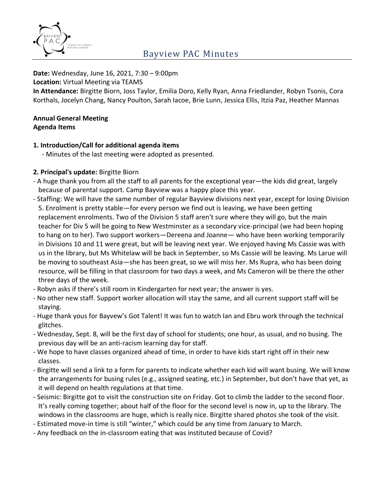

# Bayview PAC Minutes

#### **Date:** Wednesday, June 16, 2021, 7:30 – 9:00pm

**Location:** Virtual Meeting via TEAMS

**In Attendance:** Birgitte Biorn, Joss Taylor, Emilia Doro, Kelly Ryan, Anna Friedlander, Robyn Tsonis, Cora Korthals, Jocelyn Chang, Nancy Poulton, Sarah Iacoe, Brie Lunn, Jessica Ellis, Itzia Paz, Heather Mannas

#### **Annual General Meeting Agenda Items**

#### **1. Introduction/Call for additional agenda items**

- Minutes of the last meeting were adopted as presented.

### **2. Principal's update:** Birgitte Biorn

- A huge thank you from all the staff to all parents for the exceptional year—the kids did great, largely because of parental support. Camp Bayview was a happy place this year.
- Staffing: We will have the same number of regular Bayview divisions next year, except for losing Division 5. Enrolment is pretty stable—for every person we find out is leaving, we have been getting replacement enrolments. Two of the Division 5 staff aren't sure where they will go, but the main teacher for Div 5 will be going to New Westminster as a secondary vice-principal (we had been hoping to hang on to her). Two support workers—Dereena and Joanne— who have been working temporarily in Divisions 10 and 11 were great, but will be leaving next year. We enjoyed having Ms Cassie was with us in the library, but Ms Whitelaw will be back in September, so Ms Cassie will be leaving. Ms Larue will be moving to southeast Asia—she has been great, so we will miss her. Ms Rupra, who has been doing resource, will be filling in that classroom for two days a week, and Ms Cameron will be there the other three days of the week.
- Robyn asks if there's still room in Kindergarten for next year; the answer is yes.
- No other new staff. Support worker allocation will stay the same, and all current support staff will be staying.
- Huge thank yous for Bayvew's Got Talent! It was fun to watch Ian and Ebru work through the technical glitches.
- Wednesday, Sept. 8, will be the first day of school for students; one hour, as usual, and no busing. The previous day will be an anti-racism learning day for staff.
- We hope to have classes organized ahead of time, in order to have kids start right off in their new classes.
- Birgitte will send a link to a form for parents to indicate whether each kid will want busing. We will know the arrangements for busing rules (e.g., assigned seating, etc.) in September, but don't have that yet, as it will depend on health regulations at that time.
- Seismic: Birgitte got to visit the construction site on Friday. Got to climb the ladder to the second floor. It's really coming together; about half of the floor for the second level is now in, up to the library. The windows in the classrooms are huge, which is really nice. Birgitte shared photos she took of the visit.
- Estimated move-in time is still "winter," which could be any time from January to March.
- Any feedback on the in-classroom eating that was instituted because of Covid?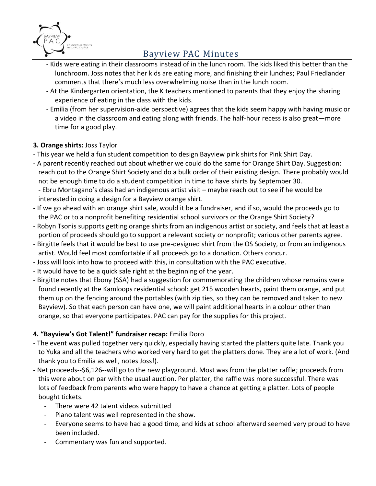

# Bayview PAC Minutes

- Kids were eating in their classrooms instead of in the lunch room. The kids liked this better than the lunchroom. Joss notes that her kids are eating more, and finishing their lunches; Paul Friedlander comments that there's much less overwhelming noise than in the lunch room.
- At the Kindergarten orientation, the K teachers mentioned to parents that they enjoy the sharing experience of eating in the class with the kids.
- Emilia (from her supervision-aide perspective) agrees that the kids seem happy with having music or a video in the classroom and eating along with friends. The half-hour recess is also great—more time for a good play.

## **3. Orange shirts:** Joss Taylor

- This year we held a fun student competition to design Bayview pink shirts for Pink Shirt Day.
- A parent recently reached out about whether we could do the same for Orange Shirt Day. Suggestion: reach out to the Orange Shirt Society and do a bulk order of their existing design. There probably would not be enough time to do a student competition in time to have shirts by September 30. - Ebru Montagano's class had an indigenous artist visit – maybe reach out to see if he would be interested in doing a design for a Bayview orange shirt.
- If we go ahead with an orange shirt sale, would it be a fundraiser, and if so, would the proceeds go to the PAC or to a nonprofit benefiting residential school survivors or the Orange Shirt Society?
- Robyn Tsonis supports getting orange shirts from an indigenous artist or society, and feels that at least a portion of proceeds should go to support a relevant society or nonprofit; various other parents agree.
- Birgitte feels that it would be best to use pre-designed shirt from the OS Society, or from an indigenous artist. Would feel most comfortable if all proceeds go to a donation. Others concur.
- Joss will look into how to proceed with this, in consultation with the PAC executive.
- It would have to be a quick sale right at the beginning of the year.
- Birgitte notes that Ebony (SSA) had a suggestion for commemorating the children whose remains were found recently at the Kamloops residential school: get 215 wooden hearts, paint them orange, and put them up on the fencing around the portables (with zip ties, so they can be removed and taken to new Bayview). So that each person can have one, we will paint additional hearts in a colour other than orange, so that everyone participates. PAC can pay for the supplies for this project.

### **4. "Bayview's Got Talent!" fundraiser recap:** Emilia Doro

- The event was pulled together very quickly, especially having started the platters quite late. Thank you to Yuka and all the teachers who worked very hard to get the platters done. They are a lot of work. (And thank you to Emilia as well, notes Joss!).
- Net proceeds--\$6,126--will go to the new playground. Most was from the platter raffle; proceeds from this were about on par with the usual auction. Per platter, the raffle was more successful. There was lots of feedback from parents who were happy to have a chance at getting a platter. Lots of people bought tickets.
	- There were 42 talent videos submitted
	- Piano talent was well represented in the show.
	- Everyone seems to have had a good time, and kids at school afterward seemed very proud to have been included.
	- Commentary was fun and supported.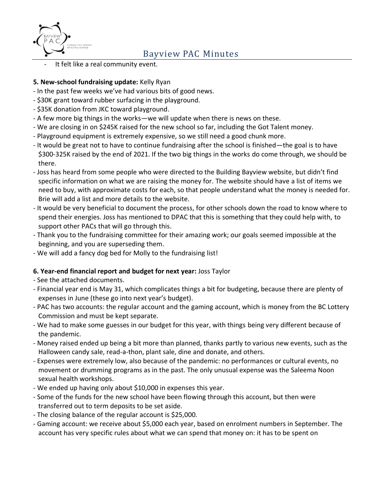

It felt like a real community event.

## **5. New-school fundraising update:** Kelly Ryan

- In the past few weeks we've had various bits of good news.
- \$30K grant toward rubber surfacing in the playground.
- \$35K donation from JKC toward playground.
- A few more big things in the works—we will update when there is news on these.
- We are closing in on \$245K raised for the new school so far, including the Got Talent money.
- Playground equipment is extremely expensive, so we still need a good chunk more.
- It would be great not to have to continue fundraising after the school is finished—the goal is to have \$300-325K raised by the end of 2021. If the two big things in the works do come through, we should be there.
- Joss has heard from some people who were directed to the Building Bayview website, but didn't find specific information on what we are raising the money for. The website should have a list of items we need to buy, with approximate costs for each, so that people understand what the money is needed for. Brie will add a list and more details to the website.
- It would be very beneficial to document the process, for other schools down the road to know where to spend their energies. Joss has mentioned to DPAC that this is something that they could help with, to support other PACs that will go through this.
- Thank you to the fundraising committee for their amazing work; our goals seemed impossible at the beginning, and you are superseding them.
- We will add a fancy dog bed for Molly to the fundraising list!

## **6. Year-end financial report and budget for next year:** Joss Taylor

- See the attached documents.
- Financial year end is May 31, which complicates things a bit for budgeting, because there are plenty of expenses in June (these go into next year's budget).
- PAC has two accounts: the regular account and the gaming account, which is money from the BC Lottery Commission and must be kept separate.
- We had to make some guesses in our budget for this year, with things being very different because of the pandemic.
- Money raised ended up being a bit more than planned, thanks partly to various new events, such as the Halloween candy sale, read-a-thon, plant sale, dine and donate, and others.
- Expenses were extremely low, also because of the pandemic: no performances or cultural events, no movement or drumming programs as in the past. The only unusual expense was the Saleema Noon sexual health workshops.
- We ended up having only about \$10,000 in expenses this year.
- Some of the funds for the new school have been flowing through this account, but then were transferred out to term deposits to be set aside.
- The closing balance of the regular account is \$25,000.
- Gaming account: we receive about \$5,000 each year, based on enrolment numbers in September. The account has very specific rules about what we can spend that money on: it has to be spent on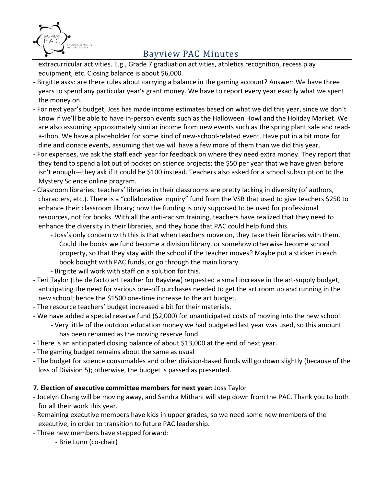

# Bayview PAC Minutes

extracurricular activities. E.g., Grade 7 graduation activities, athletics recognition, recess play equipment, etc. Closing balance is about \$6,000.

- Birgitte asks: are there rules about carrying a balance in the gaming account? Answer: We have three years to spend any particular year's grant money. We have to report every year exactly what we spent the money on.
- For next year's budget, Joss has made income estimates based on what we did this year, since we don't know if we'll be able to have in-person events such as the Halloween Howl and the Holiday Market. We are also assuming approximately similar income from new events such as the spring plant sale and reada-thon. We have a placeholder for some kind of new-school-related event. Have put in a bit more for dine and donate events, assuming that we will have a few more of them than we did this year.
- For expenses, we ask the staff each year for feedback on where they need extra money. They report that they tend to spend a lot out of pocket on science projects; the \$50 per year that we have given before isn't enough—they ask if it could be \$100 instead. Teachers also asked for a school subscription to the Mystery Science online program.
- Classroom libraries: teachers' libraries in their classrooms are pretty lacking in diversity (of authors, characters, etc.). There is a "collaborative inquiry" fund from the VSB that used to give teachers \$250 to enhance their classroom library; now the funding is only supposed to be used for professional resources, not for books. With all the anti-racism training, teachers have realized that they need to enhance the diversity in their libraries, and they hope that PAC could help fund this.
	- Joss's only concern with this is that when teachers move on, they take their libraries with them. Could the books we fund become a division library, or somehow otherwise become school property, so that they stay with the school if the teacher moves? Maybe put a sticker in each book bought with PAC funds, or go through the main library.
	- Birgitte will work with staff on a solution for this.
- Teri Taylor (the de facto art teacher for Bayview) requested a small increase in the art-supply budget, anticipating the need for various one-off purchases needed to get the art room up and running in the new school; hence the \$1500 one-time increase to the art budget.
- The resource teachers' budget increased a bit for their materials.
- We have added a special reserve fund (\$2,000) for unanticipated costs of moving into the new school.
	- Very little of the outdoor education money we had budgeted last year was used, so this amount has been renamed as the moving reserve fund.
- There is an anticipated closing balance of about \$13,000 at the end of next year.
- The gaming budget remains about the same as usual
- The budget for science consumables and other division-based funds will go down slightly (because of the loss of Division 5); otherwise, the budget is passed as presented.

### **7. Election of executive committee members for next year:** Joss Taylor

- Jocelyn Chang will be moving away, and Sandra Mithani will step down from the PAC. Thank you to both for all their work this year.
- Remaining executive members have kids in upper grades, so we need some new members of the executive, in order to transition to future PAC leadership.
- Three new members have stepped forward:
	- Brie Lunn (co-chair)